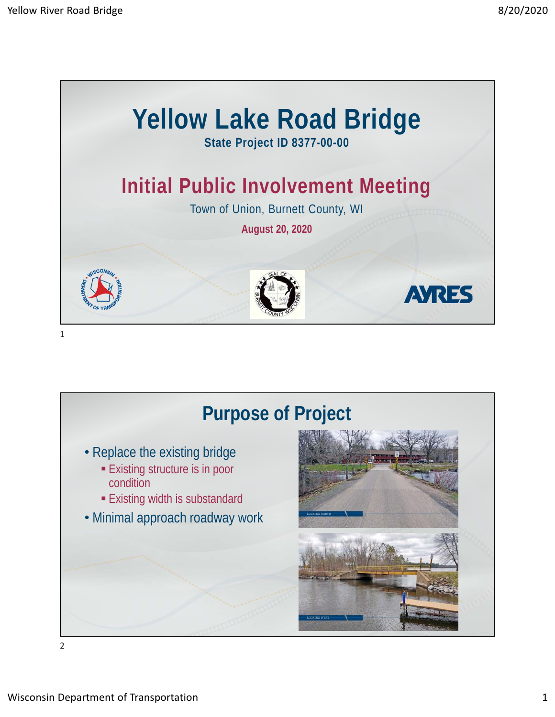

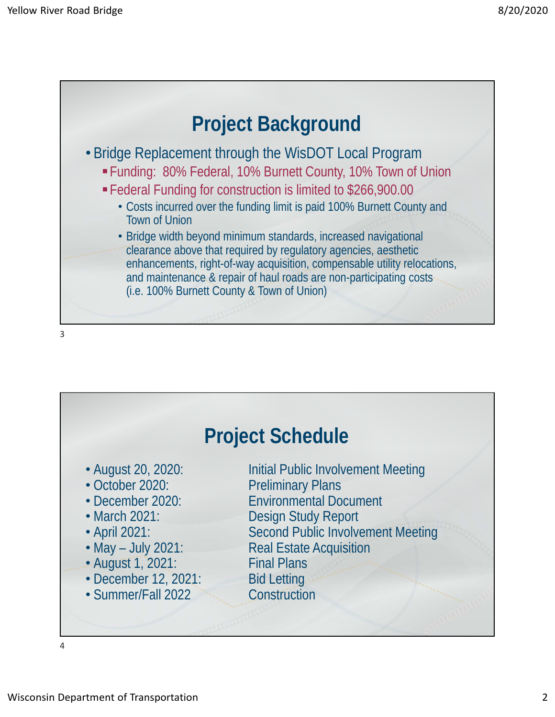

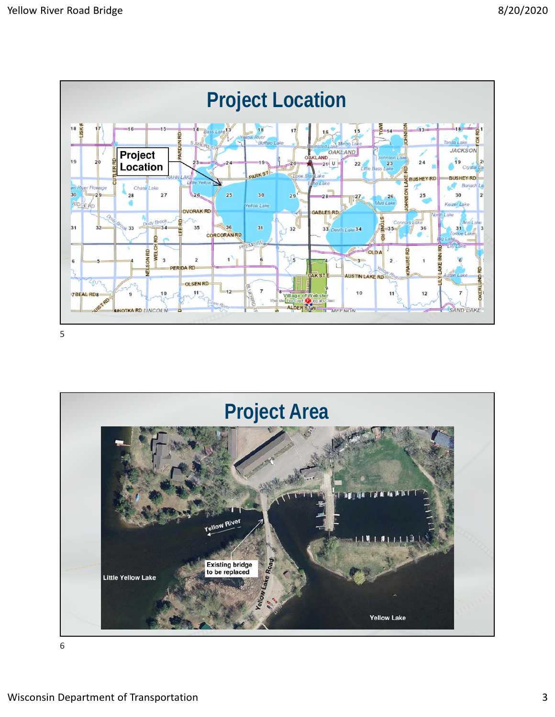

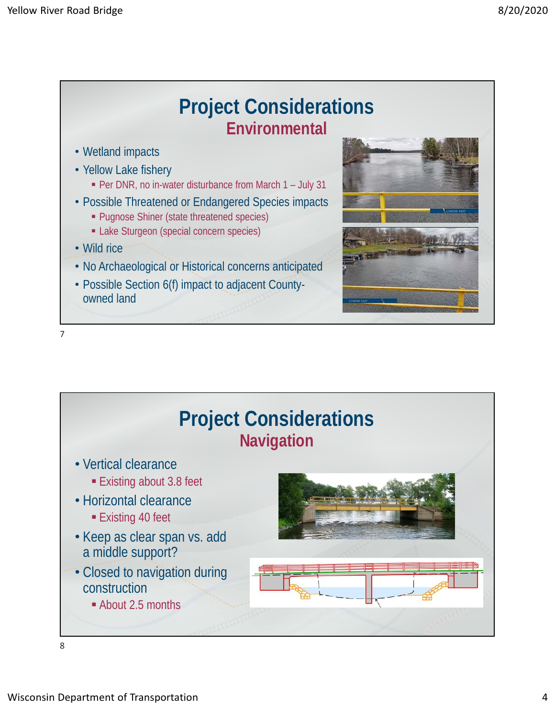

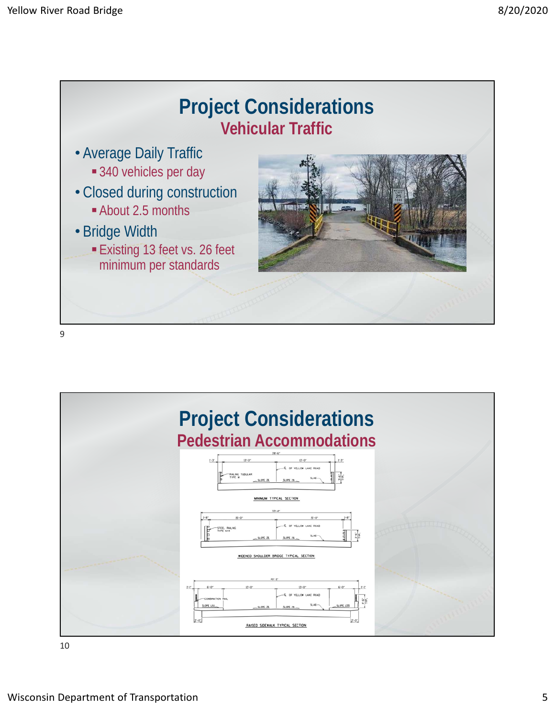



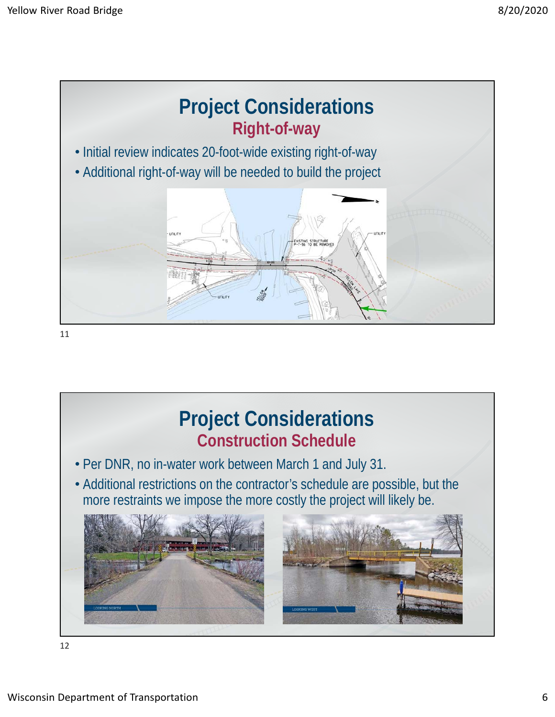